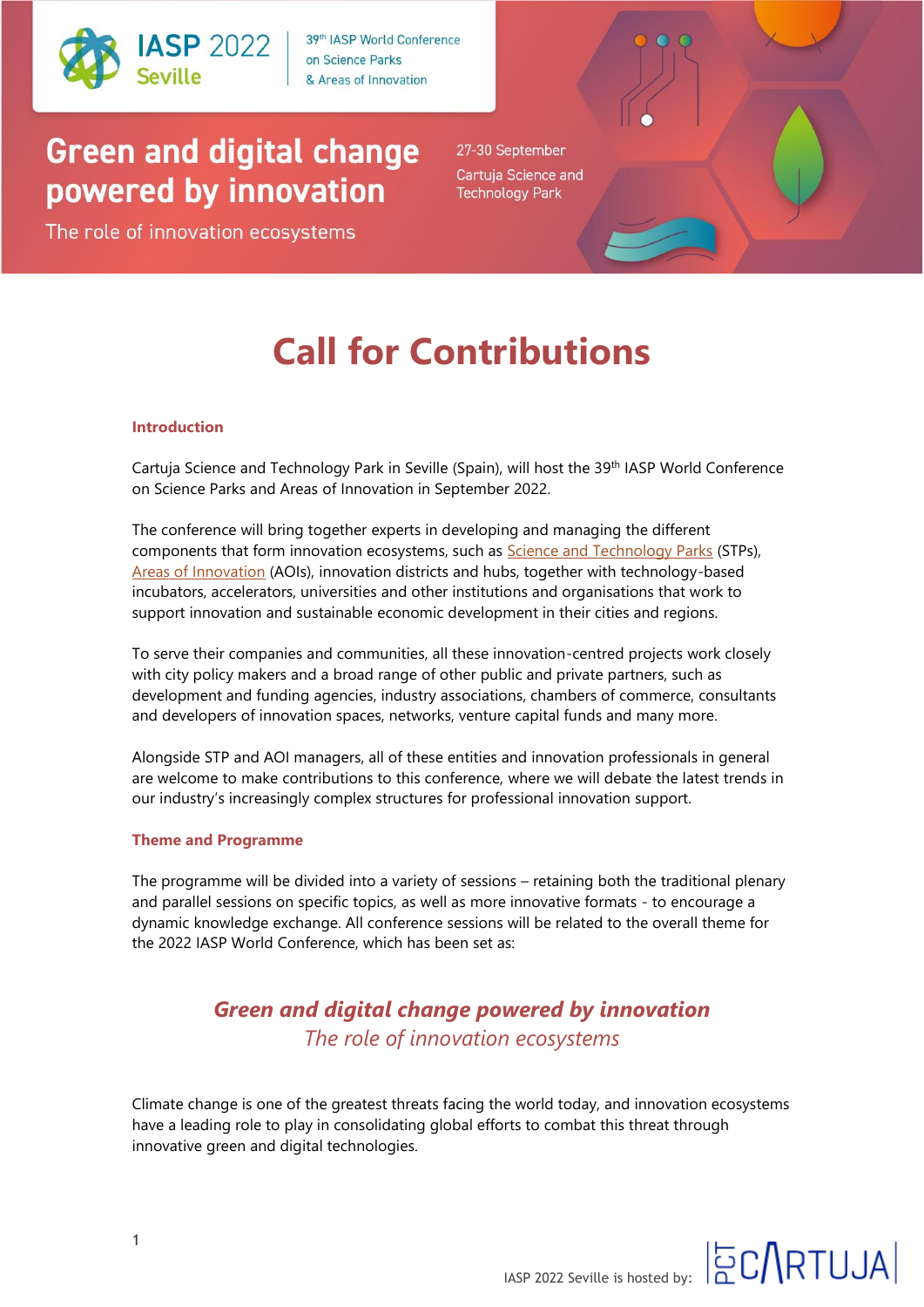

39th IASP World Conference on Science Parks & Areas of Innovation

## **Green and digital change** powered by innovation

The role of innovation ecosystems

27-30 September Cartuja Science and **Technology Park** 

# **Call for Contributions**

#### **Introduction**

Cartuja Science and Technology Park in Seville (Spain), will host the 39<sup>th</sup> IASP World Conference on Science Parks and Areas of Innovation in September 2022.

The conference will bring together experts in developing and managing the different components that form innovation ecosystems, such as **Science and Technology Parks** (STPs), [Areas of Innovation](https://www.iasp.ws/our-industry/definitions) (AOIs), innovation districts and hubs, together with technology-based incubators, accelerators, universities and other institutions and organisations that work to support innovation and sustainable economic development in their cities and regions.

To serve their companies and communities, all these innovation-centred projects work closely with city policy makers and a broad range of other public and private partners, such as development and funding agencies, industry associations, chambers of commerce, consultants and developers of innovation spaces, networks, venture capital funds and many more.

Alongside STP and AOI managers, all of these entities and innovation professionals in general are welcome to make contributions to this conference, where we will debate the latest trends in our industry's increasingly complex structures for professional innovation support.

#### **Theme and Programme**

The programme will be divided into a variety of sessions – retaining both the traditional plenary and parallel sessions on specific topics, as well as more innovative formats - to encourage a dynamic knowledge exchange. All conference sessions will be related to the overall theme for the 2022 IASP World Conference, which has been set as:

### *Green and digital change powered by innovation The role of innovation ecosystems*

Climate change is one of the greatest threats facing the world today, and innovation ecosystems have a leading role to play in consolidating global efforts to combat this threat through innovative green and digital technologies.

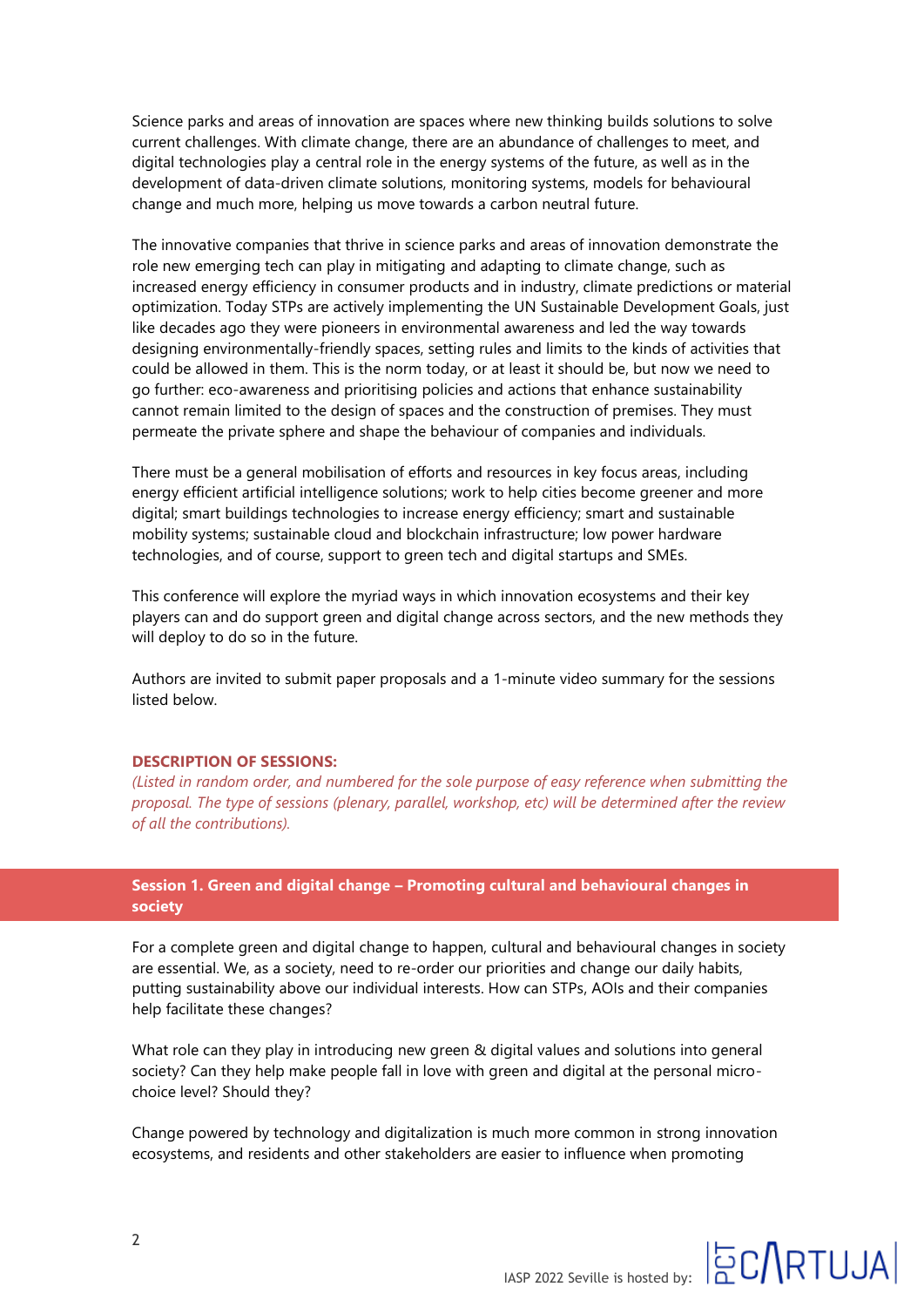Science parks and areas of innovation are spaces where new thinking builds solutions to solve current challenges. With climate change, there are an abundance of challenges to meet, and digital technologies play a central role in the energy systems of the future, as well as in the development of data-driven climate solutions, monitoring systems, models for behavioural change and much more, helping us move towards a carbon neutral future.

The innovative companies that thrive in science parks and areas of innovation demonstrate the role new emerging tech can play in mitigating and adapting to climate change, such as increased energy efficiency in consumer products and in industry, climate predictions or material optimization. Today STPs are actively implementing the UN Sustainable Development Goals, just like decades ago they were pioneers in environmental awareness and led the way towards designing environmentally-friendly spaces, setting rules and limits to the kinds of activities that could be allowed in them. This is the norm today, or at least it should be, but now we need to go further: eco-awareness and prioritising policies and actions that enhance sustainability cannot remain limited to the design of spaces and the construction of premises. They must permeate the private sphere and shape the behaviour of companies and individuals.

There must be a general mobilisation of efforts and resources in key focus areas, including energy efficient artificial intelligence solutions; work to help cities become greener and more digital; smart buildings technologies to increase energy efficiency; smart and sustainable mobility systems; sustainable cloud and blockchain infrastructure; low power hardware technologies, and of course, support to green tech and digital startups and SMEs.

This conference will explore the myriad ways in which innovation ecosystems and their key players can and do support green and digital change across sectors, and the new methods they will deploy to do so in the future.

Authors are invited to submit paper proposals and a 1-minute video summary for the sessions listed below.

#### **DESCRIPTION OF SESSIONS:**

*(Listed in random order, and numbered for the sole purpose of easy reference when submitting the proposal. The type of sessions (plenary, parallel, workshop, etc) will be determined after the review of all the contributions).*

#### **Session 1. Green and digital change – Promoting cultural and behavioural changes in society**

For a complete green and digital change to happen, cultural and behavioural changes in society are essential. We, as a society, need to re-order our priorities and change our daily habits, putting sustainability above our individual interests. How can STPs, AOIs and their companies help facilitate these changes?

What role can they play in introducing new green & digital values and solutions into general society? Can they help make people fall in love with green and digital at the personal microchoice level? Should they?

Change powered by technology and digitalization is much more common in strong innovation ecosystems, and residents and other stakeholders are easier to influence when promoting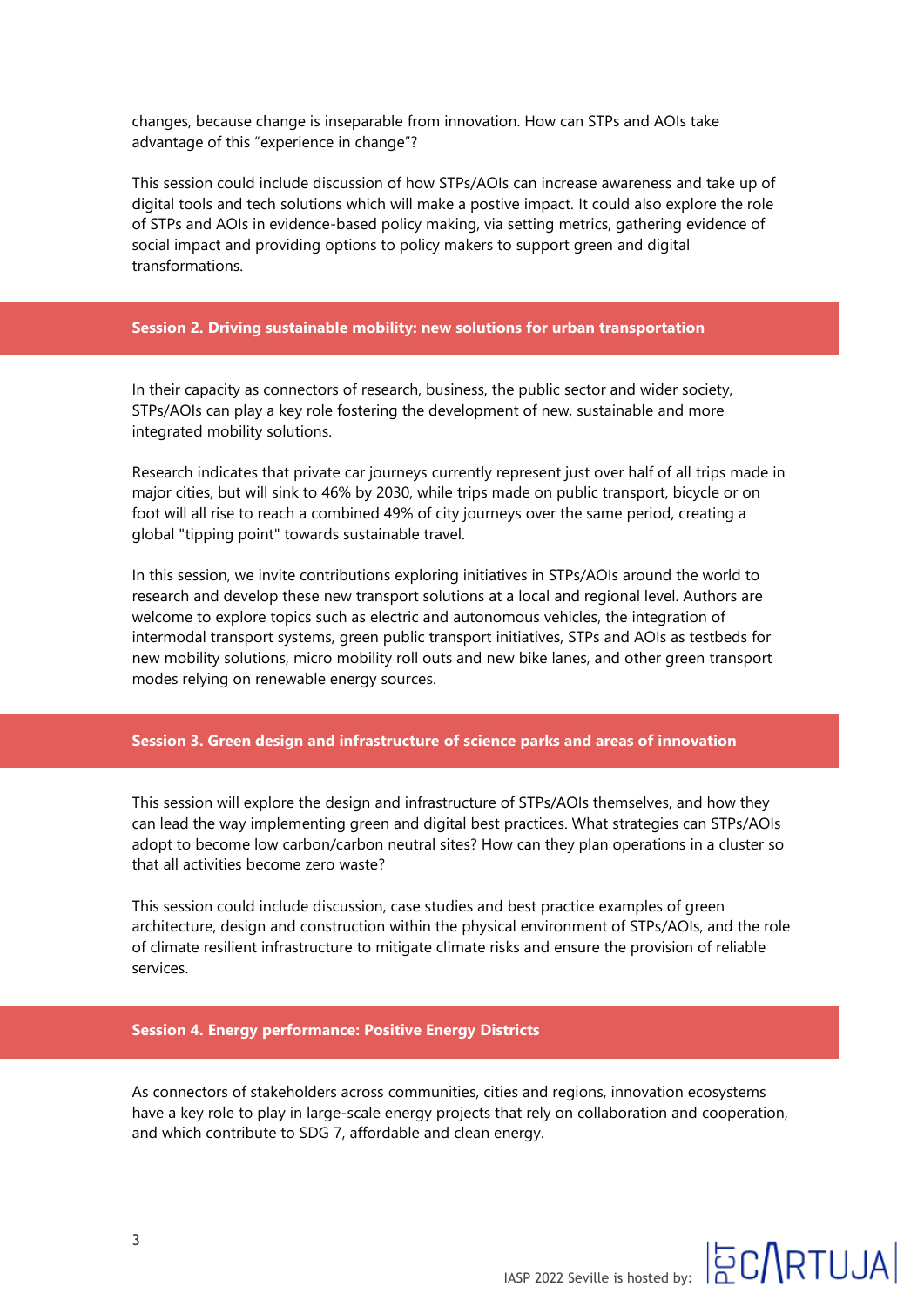changes, because change is inseparable from innovation. How can STPs and AOIs take advantage of this "experience in change"?

This session could include discussion of how STPs/AOIs can increase awareness and take up of digital tools and tech solutions which will make a postive impact. It could also explore the role of STPs and AOIs in evidence-based policy making, via setting metrics, gathering evidence of social impact and providing options to policy makers to support green and digital transformations.

#### **Session 2. Driving sustainable mobility: new solutions for urban transportation**

In their capacity as connectors of research, business, the public sector and wider society, STPs/AOIs can play a key role fostering the development of new, sustainable and more integrated mobility solutions.

Research indicates that private car journeys currently represent just over half of all trips made in major cities, but will sink to 46% by 2030, while trips made on public transport, bicycle or on foot will all rise to reach a combined 49% of city journeys over the same period, creating a global "tipping point" towards sustainable travel.

In this session, we invite contributions exploring initiatives in STPs/AOIs around the world to research and develop these new transport solutions at a local and regional level. Authors are welcome to explore topics such as electric and autonomous vehicles, the integration of intermodal transport systems, green public transport initiatives, STPs and AOIs as testbeds for new mobility solutions, micro mobility roll outs and new bike lanes, and other green transport modes relying on renewable energy sources.

#### **Session 3. Green design and infrastructure of science parks and areas of innovation**

This session will explore the design and infrastructure of STPs/AOIs themselves, and how they can lead the way implementing green and digital best practices. What strategies can STPs/AOIs adopt to become low carbon/carbon neutral sites? How can they plan operations in a cluster so that all activities become zero waste?

This session could include discussion, case studies and best practice examples of green architecture, design and construction within the physical environment of STPs/AOIs, and the role of climate resilient infrastructure to mitigate climate risks and ensure the provision of reliable services.

#### **Session 4. Energy performance: Positive Energy Districts**

As connectors of stakeholders across communities, cities and regions, innovation ecosystems have a key role to play in large-scale energy projects that rely on collaboration and cooperation, and which contribute to SDG 7, affordable and clean energy.

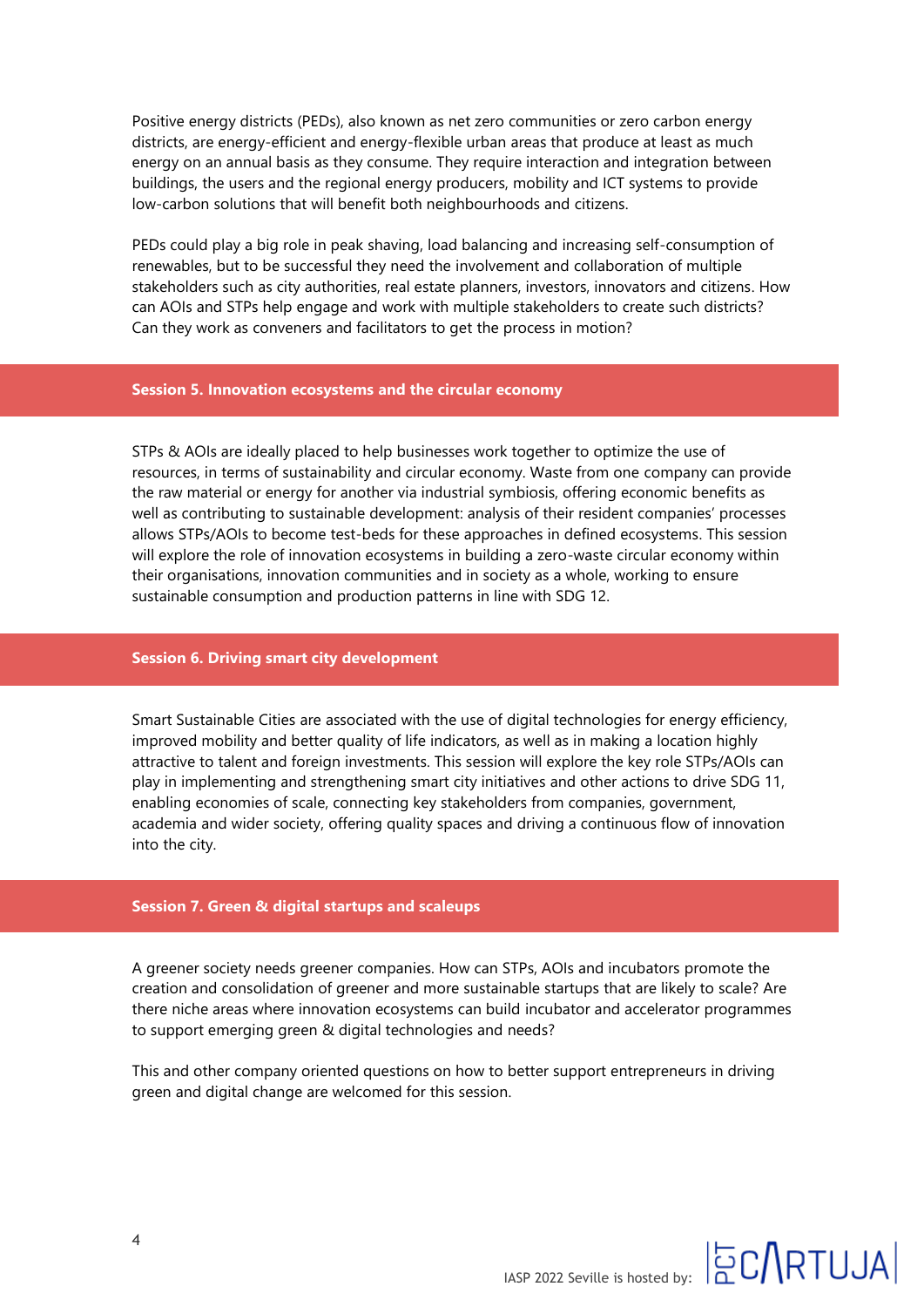Positive energy districts (PEDs), also known as net zero communities or zero carbon energy districts, are energy-efficient and energy-flexible urban areas that produce at least as much energy on an annual basis as they consume. They require interaction and integration between buildings, the users and the regional energy producers, mobility and ICT systems to provide low-carbon solutions that will benefit both neighbourhoods and citizens.

PEDs could play a big role in peak shaving, load balancing and increasing self-consumption of renewables, but to be successful they need the involvement and collaboration of multiple stakeholders such as city authorities, real estate planners, investors, innovators and citizens. How can AOIs and STPs help engage and work with multiple stakeholders to create such districts? Can they work as conveners and facilitators to get the process in motion?

#### **Session 5. Innovation ecosystems and the circular economy**

STPs & AOIs are ideally placed to help businesses work together to optimize the use of resources, in terms of sustainability and circular economy. Waste from one company can provide the raw material or energy for another via industrial symbiosis, offering economic benefits as well as contributing to sustainable development: analysis of their resident companies' processes allows STPs/AOIs to become test-beds for these approaches in defined ecosystems. This session will explore the role of innovation ecosystems in building a zero-waste circular economy within their organisations, innovation communities and in society as a whole, working to ensure sustainable consumption and production patterns in line with SDG 12.

#### **Session 6. Driving smart city development**

Smart Sustainable Cities are associated with the use of digital technologies for energy efficiency, improved mobility and better quality of life indicators, as well as in making a location highly attractive to talent and foreign investments. This session will explore the key role STPs/AOIs can play in implementing and strengthening smart city initiatives and other actions to drive SDG 11, enabling economies of scale, connecting key stakeholders from companies, government, academia and wider society, offering quality spaces and driving a continuous flow of innovation into the city.

#### **Session 7. Green & digital startups and scaleups**

A greener society needs greener companies. How can STPs, AOIs and incubators promote the creation and consolidation of greener and more sustainable startups that are likely to scale? Are there niche areas where innovation ecosystems can build incubator and accelerator programmes to support emerging green & digital technologies and needs?

This and other company oriented questions on how to better support entrepreneurs in driving green and digital change are welcomed for this session.

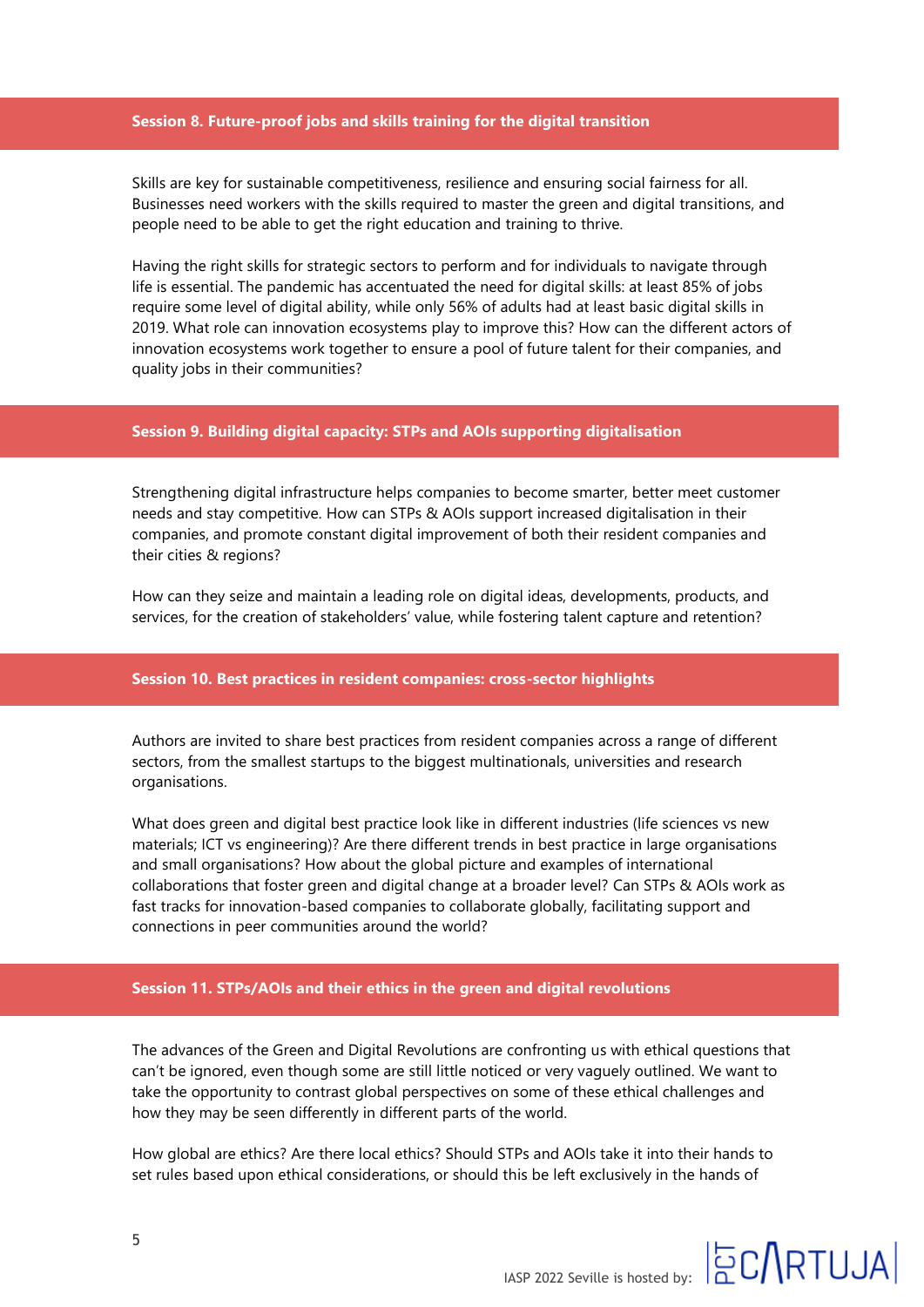#### **Session 8. Future-proof jobs and skills training for the digital transition**

Skills are key for sustainable competitiveness, resilience and ensuring social fairness for all. Businesses need workers with the skills required to master the green and digital transitions, and people need to be able to get the right education and training to thrive.

Having the right skills for strategic sectors to perform and for individuals to navigate through life is essential. The pandemic has accentuated the need for digital skills: at least 85% of jobs require some level of digital ability, while only 56% of adults had at least basic digital skills in 2019. What role can innovation ecosystems play to improve this? How can the different actors of innovation ecosystems work together to ensure a pool of future talent for their companies, and quality jobs in their communities?

#### **Session 9. Building digital capacity: STPs and AOIs supporting digitalisation**

Strengthening digital infrastructure helps companies to become smarter, better meet customer needs and stay competitive. How can STPs & AOIs support increased digitalisation in their companies, and promote constant digital improvement of both their resident companies and their cities & regions?

How can they seize and maintain a leading role on digital ideas, developments, products, and services, for the creation of stakeholders' value, while fostering talent capture and retention?

#### **Session 10. Best practices in resident companies: cross-sector highlights**

Authors are invited to share best practices from resident companies across a range of different sectors, from the smallest startups to the biggest multinationals, universities and research organisations.

What does green and digital best practice look like in different industries (life sciences vs new materials; ICT vs engineering)? Are there different trends in best practice in large organisations and small organisations? How about the global picture and examples of international collaborations that foster green and digital change at a broader level? Can STPs & AOIs work as fast tracks for innovation-based companies to collaborate globally, facilitating support and connections in peer communities around the world?

#### **Session 11. STPs/AOIs and their ethics in the green and digital revolutions**

The advances of the Green and Digital Revolutions are confronting us with ethical questions that can't be ignored, even though some are still little noticed or very vaguely outlined. We want to take the opportunity to contrast global perspectives on some of these ethical challenges and how they may be seen differently in different parts of the world.

How global are ethics? Are there local ethics? Should STPs and AOIs take it into their hands to set rules based upon ethical considerations, or should this be left exclusively in the hands of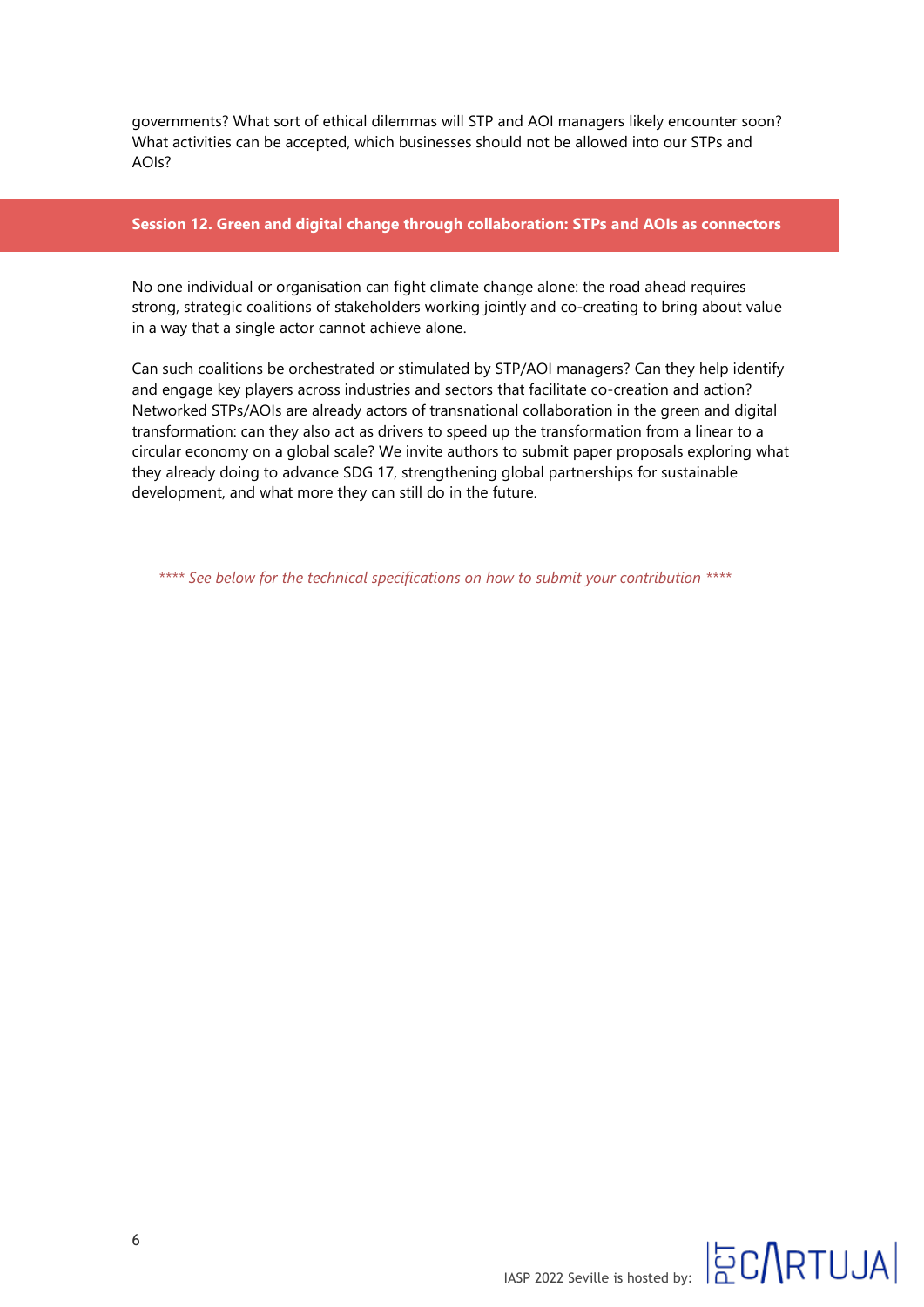governments? What sort of ethical dilemmas will STP and AOI managers likely encounter soon? What activities can be accepted, which businesses should not be allowed into our STPs and AOIs?

#### **Session 12. Green and digital change through collaboration: STPs and AOIs as connectors**

No one individual or organisation can fight climate change alone: the road ahead requires strong, strategic coalitions of stakeholders working jointly and co-creating to bring about value in a way that a single actor cannot achieve alone.

Can such coalitions be orchestrated or stimulated by STP/AOI managers? Can they help identify and engage key players across industries and sectors that facilitate co-creation and action? Networked STPs/AOIs are already actors of transnational collaboration in the green and digital transformation: can they also act as drivers to speed up the transformation from a linear to a circular economy on a global scale? We invite authors to submit paper proposals exploring what they already doing to advance SDG 17, strengthening global partnerships for sustainable development, and what more they can still do in the future.

*\*\*\*\* See below for the technical specifications on how to submit your contribution \*\*\*\**

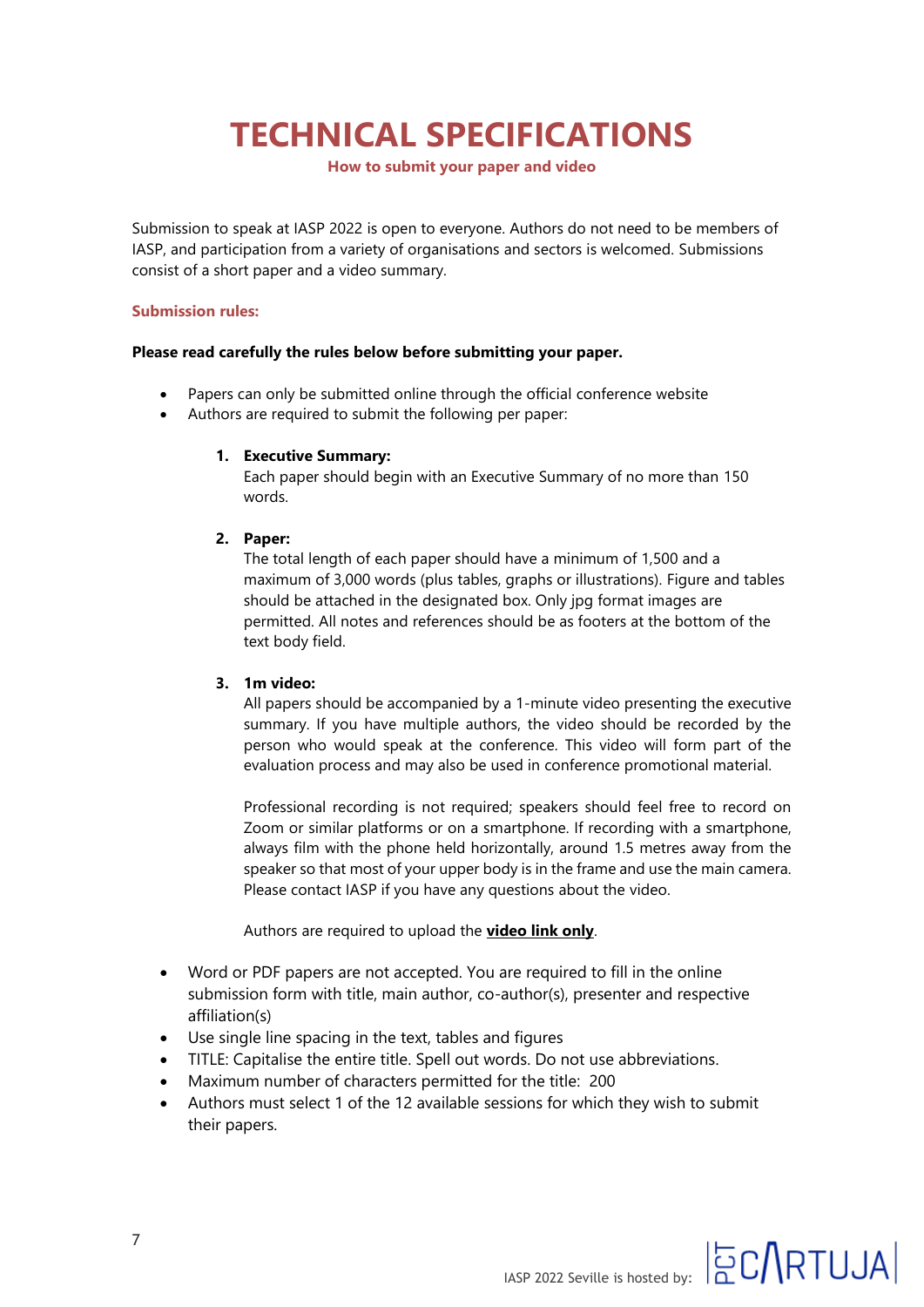**TECHNICAL SPECIFICATIONS**

**How to submit your paper and video**

Submission to speak at IASP 2022 is open to everyone. Authors do not need to be members of IASP, and participation from a variety of organisations and sectors is welcomed. Submissions consist of a short paper and a video summary.

#### **Submission rules:**

#### **Please read carefully the rules below before submitting your paper.**

- Papers can only be submitted online through the official conference website
- Authors are required to submit the following per paper:

#### **1. Executive Summary:**

Each paper should begin with an Executive Summary of no more than 150 words.

#### **2. Paper:**

The total length of each paper should have a minimum of 1,500 and a maximum of 3,000 words (plus tables, graphs or illustrations). Figure and tables should be attached in the designated box. Only jpg format images are permitted. All notes and references should be as footers at the bottom of the text body field.

#### **3. 1m video:**

All papers should be accompanied by a 1-minute video presenting the executive summary. If you have multiple authors, the video should be recorded by the person who would speak at the conference. This video will form part of the evaluation process and may also be used in conference promotional material.

Professional recording is not required; speakers should feel free to record on Zoom or similar platforms or on a smartphone. If recording with a smartphone, always film with the phone held horizontally, around 1.5 metres away from the speaker so that most of your upper body is in the frame and use the main camera. Please contact IASP if you have any questions about the video.

Authors are required to upload the **video link only**.

- Word or PDF papers are not accepted. You are required to fill in the online submission form with title, main author, co-author(s), presenter and respective affiliation(s)
- Use single line spacing in the text, tables and figures
- TITLE: Capitalise the entire title. Spell out words. Do not use abbreviations.
- Maximum number of characters permitted for the title: 200
- Authors must select 1 of the 12 available sessions for which they wish to submit their papers.

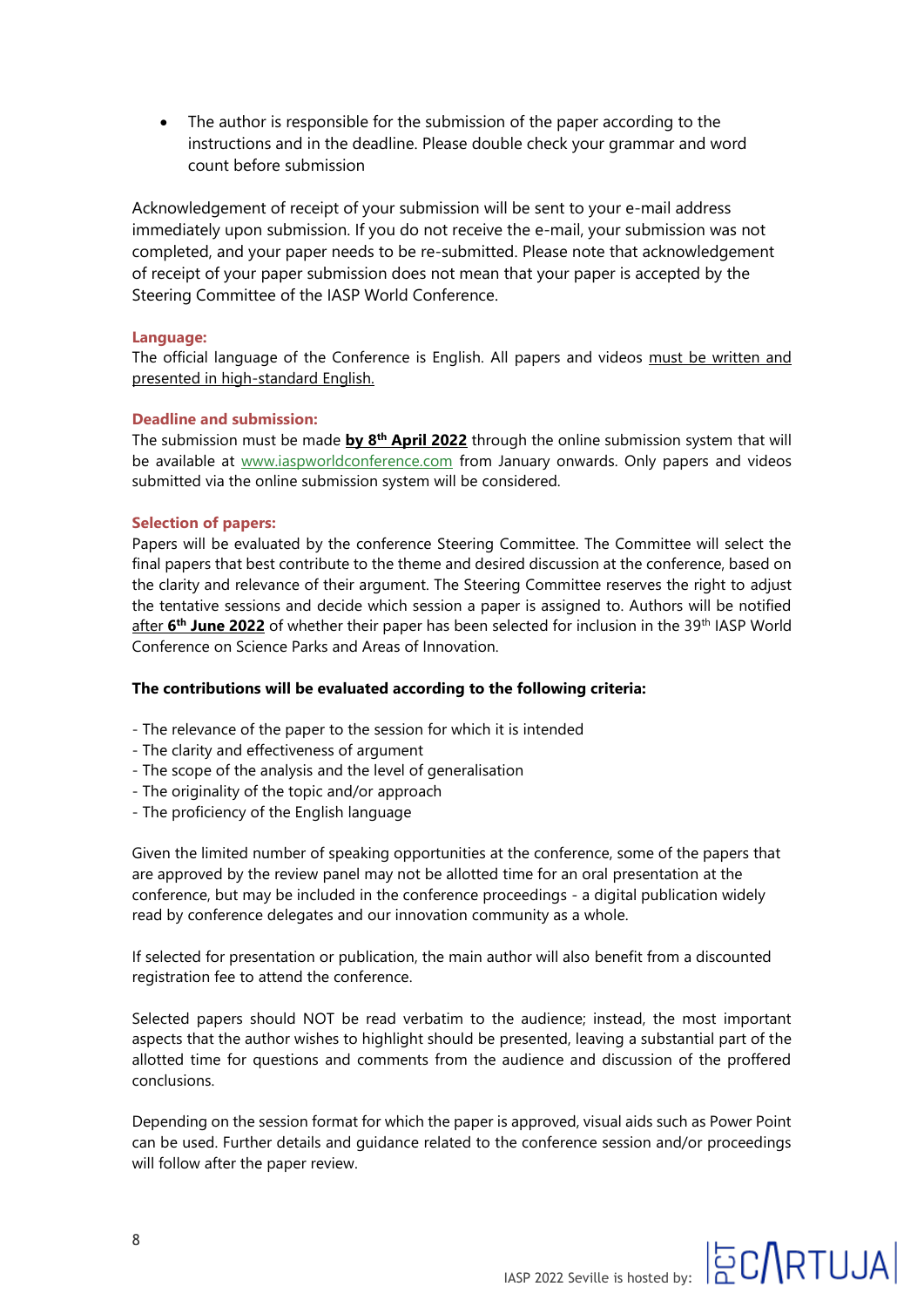• The author is responsible for the submission of the paper according to the instructions and in the deadline. Please double check your grammar and word count before submission

Acknowledgement of receipt of your submission will be sent to your e-mail address immediately upon submission. If you do not receive the e-mail, your submission was not completed, and your paper needs to be re-submitted. Please note that acknowledgement of receipt of your paper submission does not mean that your paper is accepted by the Steering Committee of the IASP World Conference.

#### **Language:**

The official language of the Conference is English. All papers and videos must be written and presented in high-standard English.

#### **Deadline and submission:**

The submission must be made **by 8<sup>th</sup> April 2022** through the online submission system that will be available at [www.iaspworldconference.com](http://www.iaspworldconference.com/) from January onwards. Only papers and videos submitted via the online submission system will be considered.

#### **Selection of papers:**

Papers will be evaluated by the conference Steering Committee. The Committee will select the final papers that best contribute to the theme and desired discussion at the conference, based on the clarity and relevance of their argument. The Steering Committee reserves the right to adjust the tentative sessions and decide which session a paper is assigned to. Authors will be notified after 6<sup>th</sup> June 2022 of whether their paper has been selected for inclusion in the 39<sup>th</sup> IASP World Conference on Science Parks and Areas of Innovation.

#### **The contributions will be evaluated according to the following criteria:**

- The relevance of the paper to the session for which it is intended
- The clarity and effectiveness of argument
- The scope of the analysis and the level of generalisation
- The originality of the topic and/or approach
- The proficiency of the English language

Given the limited number of speaking opportunities at the conference, some of the papers that are approved by the review panel may not be allotted time for an oral presentation at the conference, but may be included in the conference proceedings - a digital publication widely read by conference delegates and our innovation community as a whole.

If selected for presentation or publication, the main author will also benefit from a discounted registration fee to attend the conference.

Selected papers should NOT be read verbatim to the audience; instead, the most important aspects that the author wishes to highlight should be presented, leaving a substantial part of the allotted time for questions and comments from the audience and discussion of the proffered conclusions.

Depending on the session format for which the paper is approved, visual aids such as Power Point can be used. Further details and guidance related to the conference session and/or proceedings will follow after the paper review.